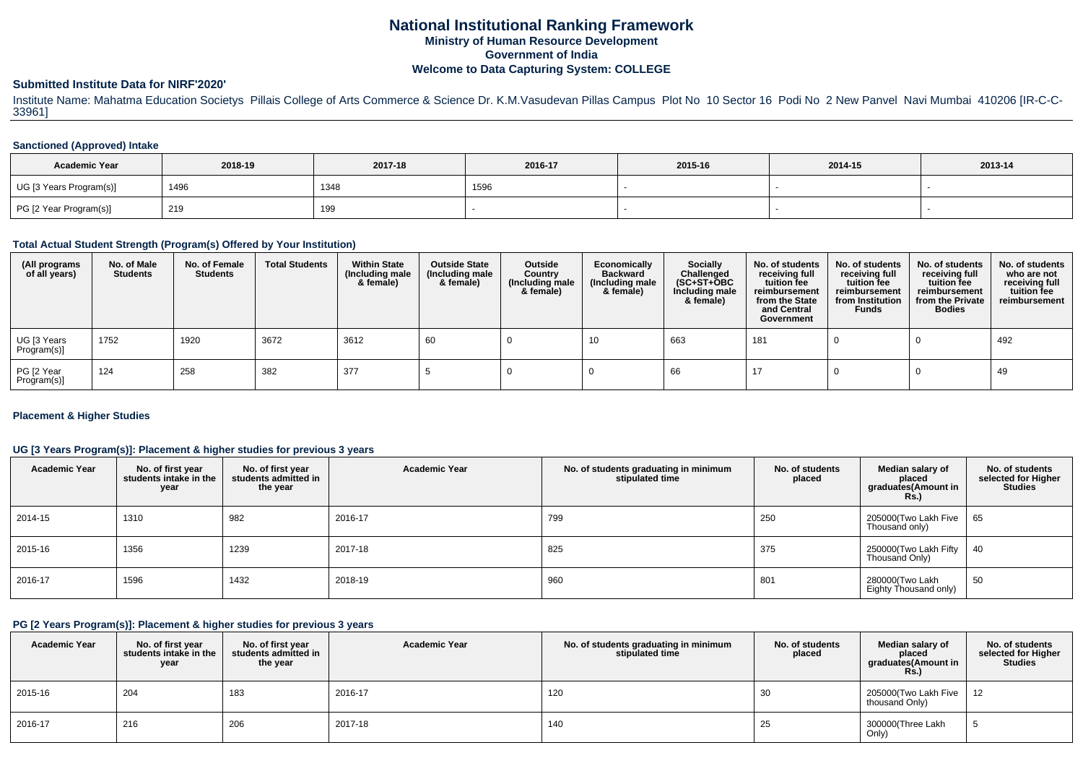# **National Institutional Ranking FrameworkMinistry of Human Resource DevelopmentGovernment of IndiaWelcome to Data Capturing System: COLLEGE**

## **Submitted Institute Data for NIRF'2020'**

Institute Name: Mahatma Education Societys Pillais College of Arts Commerce & Science Dr. K.M.Vasudevan Pillas Campus Plot No 10 Sector 16 Podi No 2 New Panvel Navi Mumbai 410206 [IR-C-C-33961]

#### **Sanctioned (Approved) Intake**

| <b>Academic Year</b>    | 2018-19 | 2017-18 | 2016-17 | 2015-16 | 2014-15 | 2013-14 |
|-------------------------|---------|---------|---------|---------|---------|---------|
| UG [3 Years Program(s)] | 1496    | 1348    | 1596    |         |         |         |
| PG [2 Year Program(s)]  | 219     | 199     |         |         |         |         |

#### **Total Actual Student Strength (Program(s) Offered by Your Institution)**

| (All programs<br>of all years) | No. of Male<br><b>Students</b> | No. of Female<br>Students | <b>Total Students</b> | <b>Within State</b><br>(Including male<br>& female) | <b>Outside State</b><br>(Including male<br>& female) | Outside<br>Country<br>(Including male<br>& female) | Economically<br><b>Backward</b><br>(Including male)<br>& female) | <b>Socially</b><br>Challenged<br>$(SC+ST+OBC)$<br>Including male<br>& female) | No. of students<br>receiving full<br>tuition fee<br>reimbursement<br>from the State<br>and Central<br>Government | No. of students<br>receiving full<br>tuition fee<br>reimbursement<br>from Institution<br><b>Funds</b> | No. of students<br>receiving full<br>tuition fee<br>reimbursement<br>from the Private<br><b>Bodies</b> | No. of students<br>who are not<br>receiving full<br>tuition fee<br>reimbursement |
|--------------------------------|--------------------------------|---------------------------|-----------------------|-----------------------------------------------------|------------------------------------------------------|----------------------------------------------------|------------------------------------------------------------------|-------------------------------------------------------------------------------|------------------------------------------------------------------------------------------------------------------|-------------------------------------------------------------------------------------------------------|--------------------------------------------------------------------------------------------------------|----------------------------------------------------------------------------------|
| UG [3 Years<br>Program(s)]     | 1752                           | 1920                      | 3672                  | 3612                                                | 60                                                   |                                                    | 10                                                               | 663                                                                           | 181                                                                                                              |                                                                                                       |                                                                                                        | 492                                                                              |
| PG [2 Year<br>Program(s)]      | 124                            | 258                       | 382                   | 377                                                 |                                                      |                                                    |                                                                  | 66                                                                            |                                                                                                                  |                                                                                                       |                                                                                                        | 49                                                                               |

#### **Placement & Higher Studies**

## **UG [3 Years Program(s)]: Placement & higher studies for previous 3 years**

| <b>Academic Year</b> | No. of first year<br>students intake in the<br>year | No. of first vear<br>students admitted in<br>the year | <b>Academic Year</b> | No. of students graduating in minimum<br>stipulated time | No. of students<br>placed | Median salary of<br>placed<br>graduates(Amount in<br><b>Rs.)</b> | No. of students<br>selected for Higher<br><b>Studies</b> |
|----------------------|-----------------------------------------------------|-------------------------------------------------------|----------------------|----------------------------------------------------------|---------------------------|------------------------------------------------------------------|----------------------------------------------------------|
| 2014-15              | 1310                                                | 982                                                   | 2016-17              | 799                                                      | 250                       | 205000(Two Lakh Five<br>Thousand only)                           | 65                                                       |
| 2015-16              | 1356                                                | 1239                                                  | 2017-18              | 825                                                      | 375                       | 250000(Two Lakh Fifty<br>Thousand Only)                          | 40                                                       |
| 2016-17              | 1596                                                | 1432                                                  | 2018-19              | 960                                                      | 801                       | 280000(Two Lakh<br>Eighty Thousand only)                         | 50                                                       |

## **PG [2 Years Program(s)]: Placement & higher studies for previous 3 years**

| <b>Academic Year</b> | No. of first year<br>students intake in the<br>year | No. of first year<br>students admitted in<br>the year | <b>Academic Year</b> | No. of students graduating in minimum<br>stipulated time | No. of students<br>placed | Median salary of<br>placed<br>graduates(Amount in<br><b>Rs.)</b> | No. of students<br>selected for Higher<br><b>Studies</b> |
|----------------------|-----------------------------------------------------|-------------------------------------------------------|----------------------|----------------------------------------------------------|---------------------------|------------------------------------------------------------------|----------------------------------------------------------|
| 2015-16              | 204                                                 | 183                                                   | 2016-17              | 120                                                      | 30                        | 205000(Two Lakh Five<br>thousand Only)                           | 12                                                       |
| 2016-17              | 216                                                 | 206                                                   | 2017-18              | 140                                                      | 25                        | 300000(Three Lakh<br>Only)                                       |                                                          |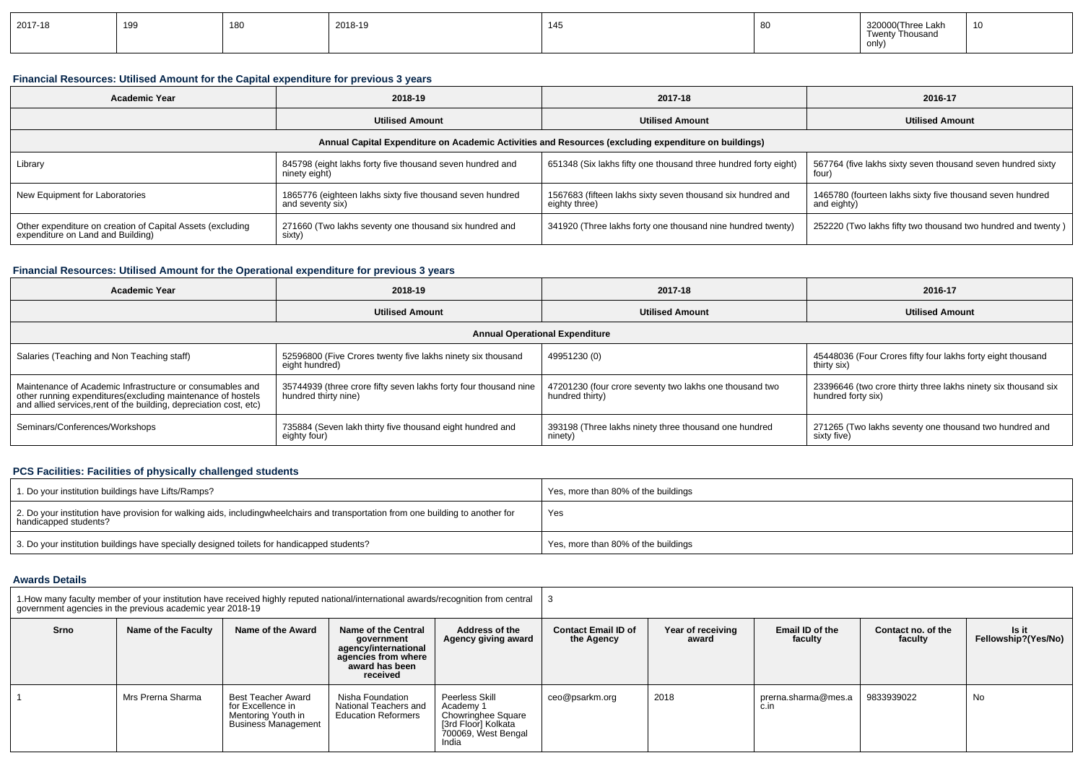| 2017-18 | 199 | 18<br>יטע | 2018-19 | 145 | ັບບ | 320000(Three Lakh<br>Thousand<br>Twent<br>only) | 10 |
|---------|-----|-----------|---------|-----|-----|-------------------------------------------------|----|
|---------|-----|-----------|---------|-----|-----|-------------------------------------------------|----|

# **Financial Resources: Utilised Amount for the Capital expenditure for previous 3 years**

| <b>Academic Year</b>                                                                                 | 2018-19                                                                       | 2017-18                                                                      | 2016-17                                                                  |  |  |  |  |
|------------------------------------------------------------------------------------------------------|-------------------------------------------------------------------------------|------------------------------------------------------------------------------|--------------------------------------------------------------------------|--|--|--|--|
|                                                                                                      | <b>Utilised Amount</b>                                                        | <b>Utilised Amount</b>                                                       | <b>Utilised Amount</b>                                                   |  |  |  |  |
| Annual Capital Expenditure on Academic Activities and Resources (excluding expenditure on buildings) |                                                                               |                                                                              |                                                                          |  |  |  |  |
| Library                                                                                              | 845798 (eight lakhs forty five thousand seven hundred and<br>ninety eight)    | 651348 (Six lakhs fifty one thousand three hundred forty eight)              | 567764 (five lakhs sixty seven thousand seven hundred sixty<br>tour      |  |  |  |  |
| New Equipment for Laboratories                                                                       | 1865776 (eighteen lakhs sixty five thousand seven hundred<br>and seventy six) | 1567683 (fifteen lakhs sixty seven thousand six hundred and<br>eighty three) | 1465780 (fourteen lakhs sixty five thousand seven hundred<br>and eighty) |  |  |  |  |
| Other expenditure on creation of Capital Assets (excluding<br>expenditure on Land and Building)      | 271660 (Two lakhs seventy one thousand six hundred and<br>sixty)              | 341920 (Three lakhs forty one thousand nine hundred twenty)                  | 252220 (Two lakhs fifty two thousand two hundred and twenty)             |  |  |  |  |

# **Financial Resources: Utilised Amount for the Operational expenditure for previous 3 years**

| <b>Academic Year</b>                                                                                                                                                                            | 2018-19                                                                                  | 2017-18                                                                    | 2016-17                                                                              |  |  |  |
|-------------------------------------------------------------------------------------------------------------------------------------------------------------------------------------------------|------------------------------------------------------------------------------------------|----------------------------------------------------------------------------|--------------------------------------------------------------------------------------|--|--|--|
|                                                                                                                                                                                                 | <b>Utilised Amount</b>                                                                   | <b>Utilised Amount</b>                                                     | <b>Utilised Amount</b>                                                               |  |  |  |
| <b>Annual Operational Expenditure</b>                                                                                                                                                           |                                                                                          |                                                                            |                                                                                      |  |  |  |
| Salaries (Teaching and Non Teaching staff)                                                                                                                                                      | 52596800 (Five Crores twenty five lakhs ninety six thousand<br>eight hundred)            | 49951230 (0)                                                               | 45448036 (Four Crores fifty four lakhs forty eight thousand<br>thirty six)           |  |  |  |
| Maintenance of Academic Infrastructure or consumables and<br>other running expenditures (excluding maintenance of hostels<br>and allied services, rent of the building, depreciation cost, etc) | 35744939 (three crore fifty seven lakhs forty four thousand nine<br>hundred thirty nine) | 47201230 (four crore seventy two lakhs one thousand two<br>hundred thirty) | 23396646 (two crore thirty three lakhs ninety six thousand six<br>hundred forty six) |  |  |  |
| Seminars/Conferences/Workshops                                                                                                                                                                  | 735884 (Seven lakh thirty five thousand eight hundred and<br>eighty four)                | 393198 (Three lakhs ninety three thousand one hundred<br>ninety)           | 271265 (Two lakhs seventy one thousand two hundred and<br>sixty five)                |  |  |  |

# **PCS Facilities: Facilities of physically challenged students**

| 1. Do your institution buildings have Lifts/Ramps?                                                                                                        | Yes, more than 80% of the buildings |
|-----------------------------------------------------------------------------------------------------------------------------------------------------------|-------------------------------------|
| 2. Do your institution have provision for walking aids, includingwheelchairs and transportation from one building to another for<br>handicapped students? | Yes                                 |
| 3. Do your institution buildings have specially designed toilets for handicapped students?                                                                | Yes, more than 80% of the buildings |

## **Awards Details**

| 1. How many faculty member of your institution have received highly reputed national/international awards/recognition from central<br>government agencies in the previous academic year 2018-19 |                     |                                                                                             |                                                                                                                |                                                                                                                 |                                          |                            |                             |                               |                              |
|-------------------------------------------------------------------------------------------------------------------------------------------------------------------------------------------------|---------------------|---------------------------------------------------------------------------------------------|----------------------------------------------------------------------------------------------------------------|-----------------------------------------------------------------------------------------------------------------|------------------------------------------|----------------------------|-----------------------------|-------------------------------|------------------------------|
| Srno                                                                                                                                                                                            | Name of the Faculty | Name of the Award                                                                           | Name of the Central<br>government<br>agency/international<br>agencies from where<br>award has been<br>received | Address of the<br>Agency giving award                                                                           | <b>Contact Email ID of</b><br>the Agency | Year of receiving<br>award | Email ID of the<br>faculty  | Contact no. of the<br>faculty | Is it<br>Fellowship?(Yes/No) |
|                                                                                                                                                                                                 | Mrs Prerna Sharma   | Best Teacher Award<br>for Excellence in<br>Mentoring Youth in<br><b>Business Management</b> | Nisha Foundation<br>National Teachers and<br><b>Education Reformers</b>                                        | Peerless Skill<br>Academy 1<br><b>Chowringhee Square</b><br>[3rd Floor] Kolkata<br>700069, West Bengal<br>India | ceo@psarkm.org                           | 2018                       | prerna.sharma@mes.a<br>c.in | 9833939022                    | No                           |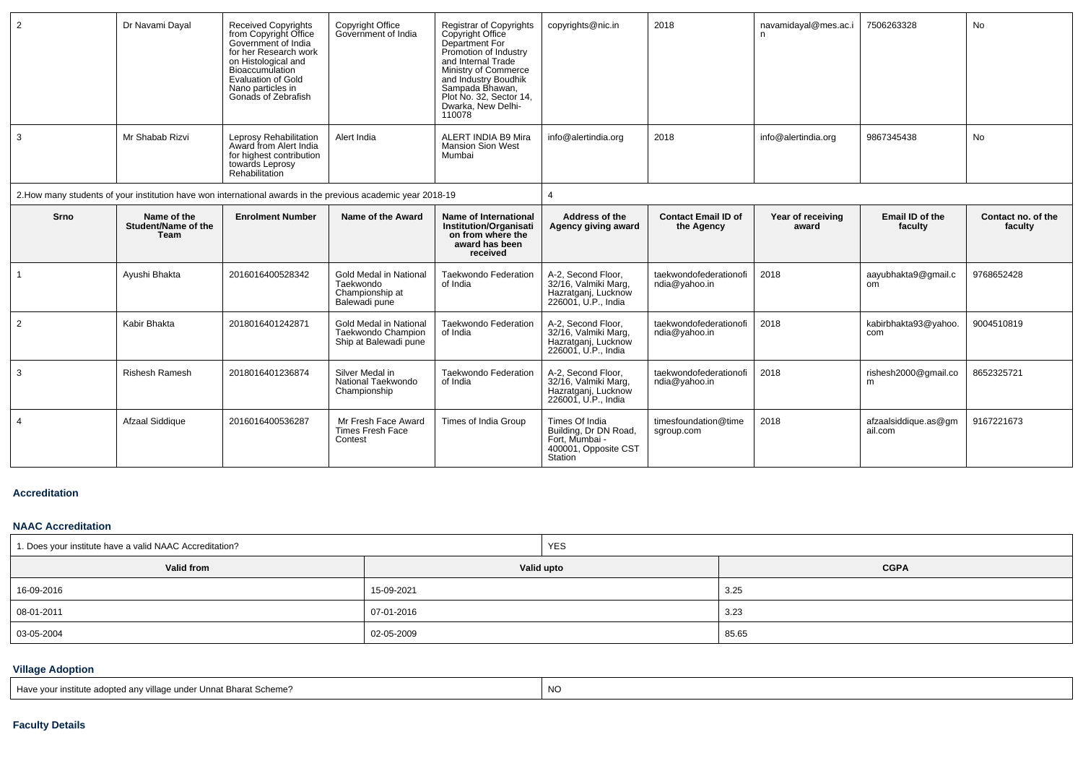| $\overline{2}$ | Dr Navami Dayal                                   | Received Copyrights<br>from Copyright Office<br>Government of India<br>for her Research work<br>on Histological and<br>Bioaccumulation<br><b>Evaluation of Gold</b><br>Nano particles in<br>Gonads of Zebrafish | Copyright Office<br>Government of India                                 | <b>Registrar of Copyrights</b><br>Copyright Office<br>Department For<br>Promotion of Industry<br>and Internal Trade<br>Ministry of Commerce<br>and Industry Boudhik<br>Sampada Bhawan,<br>Plot No. 32, Sector 14,<br>Dwarka, New Delhi-<br>110078 | copyrights@nic.in                                                                            | 2018                                     | navamidayal@mes.ac.i       | 7506263328                           | <b>No</b>                     |
|----------------|---------------------------------------------------|-----------------------------------------------------------------------------------------------------------------------------------------------------------------------------------------------------------------|-------------------------------------------------------------------------|---------------------------------------------------------------------------------------------------------------------------------------------------------------------------------------------------------------------------------------------------|----------------------------------------------------------------------------------------------|------------------------------------------|----------------------------|--------------------------------------|-------------------------------|
| 3              | Mr Shabab Rizvi                                   | Leprosy Rehabilitation<br>Award from Alert India<br>for highest contribution<br>towards Leprosy<br><b>Rehabilitation</b>                                                                                        | Alert India                                                             | ALERT INDIA B9 Mira<br><b>Mansion Sion West</b><br>Mumbai                                                                                                                                                                                         | info@alertindia.org                                                                          | 2018                                     | info@alertindia.org        | 9867345438                           | No                            |
|                |                                                   | 2. How many students of your institution have won international awards in the previous academic year 2018-19                                                                                                    |                                                                         |                                                                                                                                                                                                                                                   | 4                                                                                            |                                          |                            |                                      |                               |
| Srno           | Name of the<br>Student/Name of the<br><b>Team</b> | <b>Enrolment Number</b>                                                                                                                                                                                         | Name of the Award                                                       | <b>Name of International</b><br><b>Institution/Organisati</b><br>on from where the<br>award has been<br>received                                                                                                                                  | Address of the<br>Agency giving award                                                        | <b>Contact Email ID of</b><br>the Agency | Year of receiving<br>award | Email ID of the<br>faculty           | Contact no. of the<br>faculty |
|                | Ayushi Bhakta                                     | 2016016400528342                                                                                                                                                                                                | Gold Medal in National<br>Taekwondo<br>Championship at<br>Balewadi pune | Taekwondo Federation<br>of India                                                                                                                                                                                                                  | A-2. Second Floor.<br>32/16. Valmiki Marg.<br>Hazratganj, Lucknow<br>226001, U.P., India     | taekwondofederationofi<br>ndia@yahoo.in  | 2018                       | aayubhakta9@gmail.c<br><sub>om</sub> | 9768652428                    |
| 2              | Kabir Bhakta                                      | 2018016401242871                                                                                                                                                                                                | Gold Medal in National<br>Taekwondo Champion<br>Ship at Balewadi pune   | Taekwondo Federation<br>of India                                                                                                                                                                                                                  | A-2. Second Floor.<br>32/16, Valmiki Marg,<br>Hazratganj, Lucknow<br>226001, U.P., India     | taekwondofederationofi<br>ndia@yahoo.in  | 2018                       | kabirbhakta93@yahoo.<br>com          | 9004510819                    |
| 3              | <b>Rishesh Ramesh</b>                             | 2018016401236874                                                                                                                                                                                                | Silver Medal in<br>National Taekwondo<br>Championship                   | Taekwondo Federation<br>of India                                                                                                                                                                                                                  | A-2, Second Floor,<br>32/16, Valmiki Marg,<br>Hazratganj, Lucknow<br>226001, U.P., India     | taekwondofederationofi<br>ndia@yahoo.in  | 2018                       | rishesh2000@gmail.co<br>m            | 8652325721                    |
|                | Afzaal Siddique                                   | 2016016400536287                                                                                                                                                                                                | Mr Fresh Face Award<br><b>Times Fresh Face</b><br>Contest               | Times of India Group                                                                                                                                                                                                                              | Times Of India<br>Building, Dr DN Road,<br>Fort. Mumbai -<br>400001, Opposite CST<br>Station | timesfoundation@time<br>sgroup.com       | 2018                       | afzaalsiddique.as@qm<br>ail.com      | 9167221673                    |

## **Accreditation**

#### **NAAC Accreditation**

| 1. Does your institute have a valid NAAC Accreditation? | <b>YES</b> |             |
|---------------------------------------------------------|------------|-------------|
| <b>Valid from</b>                                       | Valid upto | <b>CGPA</b> |
| 16-09-2016                                              | 15-09-2021 | 3.25        |
| 08-01-2011                                              | 07-01-2016 | 3.23        |
| 03-05-2004                                              | 02-05-2009 | 85.65       |

## **Village Adoption**

| e under Unnat Bharat Scheme?<br>r institute adopted anv village.<br>Have vour | <b>NIC</b><br>- 1 Y V |
|-------------------------------------------------------------------------------|-----------------------|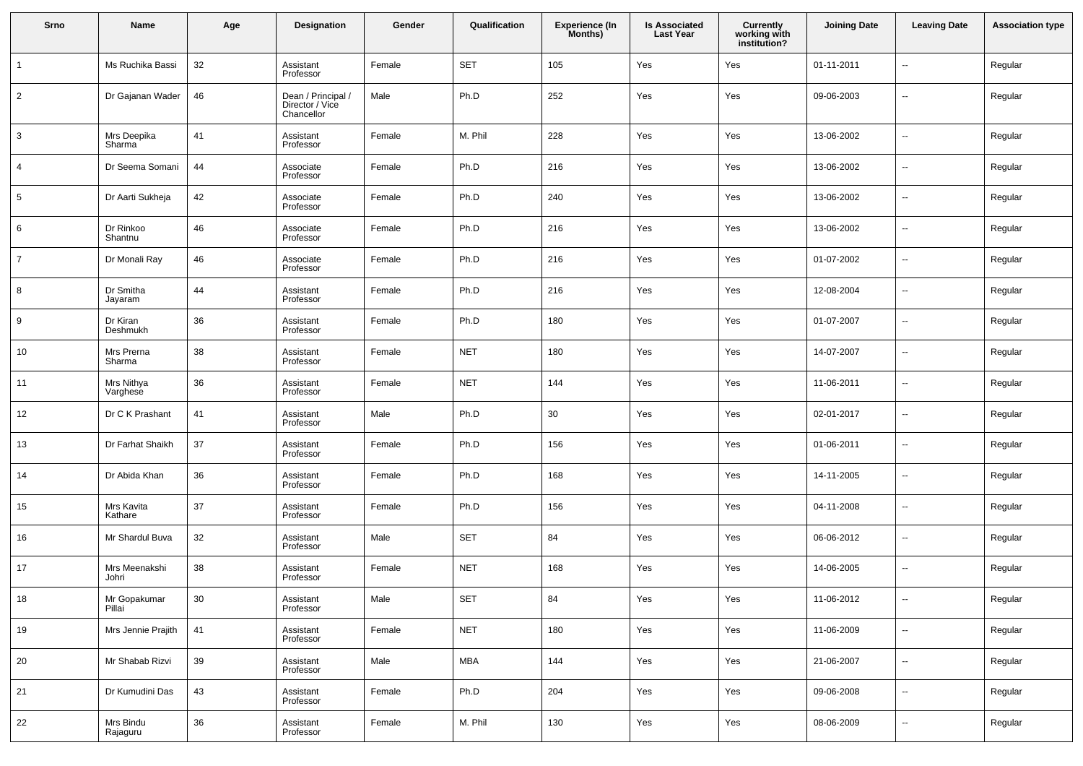| Srno           | Name                   | Age    | <b>Designation</b>                                  | Gender | Qualification | <b>Experience (In</b><br>Months) | <b>Is Associated</b><br><b>Last Year</b> | <b>Currently</b><br>working with<br>institution? | <b>Joining Date</b> | <b>Leaving Date</b>      | <b>Association type</b> |
|----------------|------------------------|--------|-----------------------------------------------------|--------|---------------|----------------------------------|------------------------------------------|--------------------------------------------------|---------------------|--------------------------|-------------------------|
| $\mathbf{1}$   | Ms Ruchika Bassi       | 32     | Assistant<br>Professor                              | Female | <b>SET</b>    | 105                              | Yes                                      | Yes                                              | 01-11-2011          | $\ddotsc$                | Regular                 |
| $\overline{2}$ | Dr Gajanan Wader       | 46     | Dean / Principal /<br>Director / Vice<br>Chancellor | Male   | Ph.D          | 252                              | Yes                                      | Yes                                              | 09-06-2003          | $\overline{\phantom{a}}$ | Regular                 |
| 3              | Mrs Deepika<br>Sharma  | 41     | Assistant<br>Professor                              | Female | M. Phil       | 228                              | Yes                                      | Yes                                              | 13-06-2002          | $\overline{\phantom{a}}$ | Regular                 |
| $\overline{4}$ | Dr Seema Somani        | 44     | Associate<br>Professor                              | Female | Ph.D          | 216                              | Yes                                      | Yes                                              | 13-06-2002          | $\overline{\phantom{a}}$ | Regular                 |
| 5              | Dr Aarti Sukheja       | 42     | Associate<br>Professor                              | Female | Ph.D          | 240                              | Yes                                      | Yes                                              | 13-06-2002          | $\overline{\phantom{a}}$ | Regular                 |
| 6              | Dr Rinkoo<br>Shantnu   | 46     | Associate<br>Professor                              | Female | Ph.D          | 216                              | Yes                                      | Yes                                              | 13-06-2002          | $\overline{\phantom{a}}$ | Regular                 |
| $\overline{7}$ | Dr Monali Ray          | 46     | Associate<br>Professor                              | Female | Ph.D          | 216                              | Yes                                      | Yes                                              | 01-07-2002          | $\overline{\phantom{a}}$ | Regular                 |
| 8              | Dr Smitha<br>Jayaram   | 44     | Assistant<br>Professor                              | Female | Ph.D          | 216                              | Yes                                      | Yes                                              | 12-08-2004          | $\ddotsc$                | Regular                 |
| 9              | Dr Kiran<br>Deshmukh   | 36     | Assistant<br>Professor                              | Female | Ph.D          | 180                              | Yes                                      | Yes                                              | 01-07-2007          | $\overline{\phantom{a}}$ | Regular                 |
| 10             | Mrs Prerna<br>Sharma   | 38     | Assistant<br>Professor                              | Female | <b>NET</b>    | 180                              | Yes                                      | Yes                                              | 14-07-2007          | $\overline{\phantom{a}}$ | Regular                 |
| 11             | Mrs Nithya<br>Varghese | 36     | Assistant<br>Professor                              | Female | <b>NET</b>    | 144                              | Yes                                      | Yes                                              | 11-06-2011          | $\ddotsc$                | Regular                 |
| 12             | Dr C K Prashant        | 41     | Assistant<br>Professor                              | Male   | Ph.D          | 30                               | Yes                                      | Yes                                              | 02-01-2017          | $\overline{\phantom{a}}$ | Regular                 |
| 13             | Dr Farhat Shaikh       | 37     | Assistant<br>Professor                              | Female | Ph.D          | 156                              | Yes                                      | Yes                                              | 01-06-2011          | $\overline{\phantom{a}}$ | Regular                 |
| 14             | Dr Abida Khan          | 36     | Assistant<br>Professor                              | Female | Ph.D          | 168                              | Yes                                      | Yes                                              | 14-11-2005          | $\ddotsc$                | Regular                 |
| 15             | Mrs Kavita<br>Kathare  | 37     | Assistant<br>Professor                              | Female | Ph.D          | 156                              | Yes                                      | Yes                                              | 04-11-2008          | $\overline{\phantom{a}}$ | Regular                 |
| 16             | Mr Shardul Buva        | 32     | Assistant<br>Professor                              | Male   | <b>SET</b>    | 84                               | Yes                                      | Yes                                              | 06-06-2012          | $\overline{\phantom{a}}$ | Regular                 |
| 17             | Mrs Meenakshi<br>Johri | 38     | Assistant<br>Professor                              | Female | <b>NET</b>    | 168                              | Yes                                      | Yes                                              | 14-06-2005          | $\ddotsc$                | Regular                 |
| 18             | Mr Gopakumar<br>Pillai | $30\,$ | Assistant<br>Professor                              | Male   | SET           | 84                               | Yes                                      | Yes                                              | 11-06-2012          | $\ddot{\phantom{a}}$     | Regular                 |
| 19             | Mrs Jennie Prajith     | 41     | Assistant<br>Professor                              | Female | <b>NET</b>    | 180                              | Yes                                      | Yes                                              | 11-06-2009          | $\overline{\phantom{a}}$ | Regular                 |
| 20             | Mr Shabab Rizvi        | 39     | Assistant<br>Professor                              | Male   | <b>MBA</b>    | 144                              | Yes                                      | Yes                                              | 21-06-2007          | $\sim$                   | Regular                 |
| 21             | Dr Kumudini Das        | 43     | Assistant<br>Professor                              | Female | Ph.D          | 204                              | Yes                                      | Yes                                              | 09-06-2008          | $\sim$                   | Regular                 |
| 22             | Mrs Bindu<br>Rajaguru  | 36     | Assistant<br>Professor                              | Female | M. Phil       | 130                              | Yes                                      | Yes                                              | 08-06-2009          | $\overline{\phantom{a}}$ | Regular                 |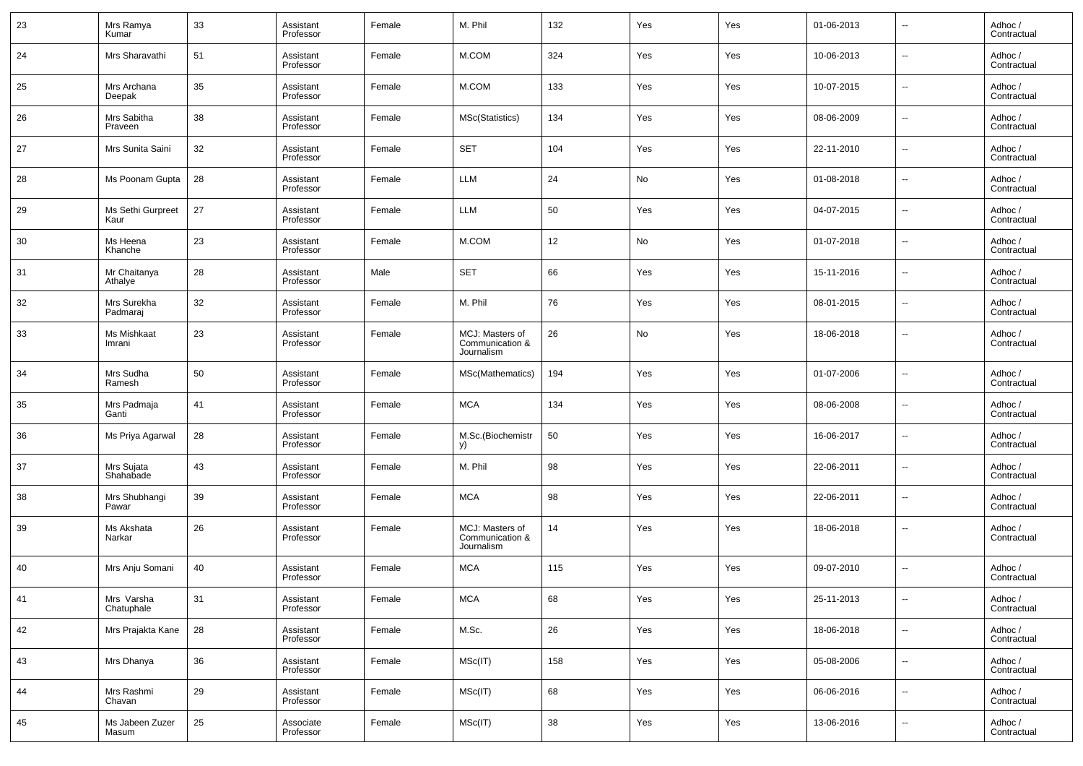| 23 | Mrs Ramya<br>Kumar        | 33 | Assistant<br>Professor | Female | M. Phil                                          | 132 | Yes | Yes | 01-06-2013 | $\overline{\phantom{a}}$ | Adhoc /<br>Contractual |
|----|---------------------------|----|------------------------|--------|--------------------------------------------------|-----|-----|-----|------------|--------------------------|------------------------|
| 24 | Mrs Sharavathi            | 51 | Assistant<br>Professor | Female | M.COM                                            | 324 | Yes | Yes | 10-06-2013 | $\overline{\phantom{a}}$ | Adhoc/<br>Contractual  |
| 25 | Mrs Archana<br>Deepak     | 35 | Assistant<br>Professor | Female | M.COM                                            | 133 | Yes | Yes | 10-07-2015 | $\overline{\phantom{a}}$ | Adhoc /<br>Contractual |
| 26 | Mrs Sabitha<br>Praveen    | 38 | Assistant<br>Professor | Female | MSc(Statistics)                                  | 134 | Yes | Yes | 08-06-2009 | $\overline{\phantom{a}}$ | Adhoc /<br>Contractual |
| 27 | Mrs Sunita Saini          | 32 | Assistant<br>Professor | Female | <b>SET</b>                                       | 104 | Yes | Yes | 22-11-2010 | $\overline{\phantom{a}}$ | Adhoc /<br>Contractual |
| 28 | Ms Poonam Gupta           | 28 | Assistant<br>Professor | Female | LLM                                              | 24  | No  | Yes | 01-08-2018 | $\overline{\phantom{a}}$ | Adhoc /<br>Contractual |
| 29 | Ms Sethi Gurpreet<br>Kaur | 27 | Assistant<br>Professor | Female | LLM                                              | 50  | Yes | Yes | 04-07-2015 | $\overline{\phantom{a}}$ | Adhoc /<br>Contractual |
| 30 | Ms Heena<br>Khanche       | 23 | Assistant<br>Professor | Female | M.COM                                            | 12  | No  | Yes | 01-07-2018 | $\overline{\phantom{a}}$ | Adhoc /<br>Contractual |
| 31 | Mr Chaitanya<br>Athalye   | 28 | Assistant<br>Professor | Male   | <b>SET</b>                                       | 66  | Yes | Yes | 15-11-2016 | $\overline{\phantom{a}}$ | Adhoc /<br>Contractual |
| 32 | Mrs Surekha<br>Padmaraj   | 32 | Assistant<br>Professor | Female | M. Phil                                          | 76  | Yes | Yes | 08-01-2015 | $\overline{\phantom{a}}$ | Adhoc /<br>Contractual |
| 33 | Ms Mishkaat<br>Imrani     | 23 | Assistant<br>Professor | Female | MCJ: Masters of<br>Communication &<br>Journalism | 26  | No  | Yes | 18-06-2018 | --                       | Adhoc /<br>Contractual |
| 34 | Mrs Sudha<br>Ramesh       | 50 | Assistant<br>Professor | Female | MSc(Mathematics)                                 | 194 | Yes | Yes | 01-07-2006 | $\overline{a}$           | Adhoc /<br>Contractual |
| 35 | Mrs Padmaja<br>Ganti      | 41 | Assistant<br>Professor | Female | <b>MCA</b>                                       | 134 | Yes | Yes | 08-06-2008 | ш,                       | Adhoc /<br>Contractual |
| 36 | Ms Priya Agarwal          | 28 | Assistant<br>Professor | Female | M.Sc.(Biochemistr<br>y)                          | 50  | Yes | Yes | 16-06-2017 | $\overline{\phantom{a}}$ | Adhoc /<br>Contractual |
| 37 | Mrs Sujata<br>Shahabade   | 43 | Assistant<br>Professor | Female | M. Phil                                          | 98  | Yes | Yes | 22-06-2011 | ш.                       | Adhoc /<br>Contractual |
| 38 | Mrs Shubhangi<br>Pawar    | 39 | Assistant<br>Professor | Female | <b>MCA</b>                                       | 98  | Yes | Yes | 22-06-2011 | ш.                       | Adhoc /<br>Contractual |
| 39 | Ms Akshata<br>Narkar      | 26 | Assistant<br>Professor | Female | MCJ: Masters of<br>Communication &<br>Journalism | 14  | Yes | Yes | 18-06-2018 | --                       | Adhoc /<br>Contractual |
| 40 | Mrs Anju Somani           | 40 | Assistant<br>Professor | Female | <b>MCA</b>                                       | 115 | Yes | Yes | 09-07-2010 | --                       | Adhoc /<br>Contractual |
| 41 | Mrs Varsha<br>Chatuphale  | 31 | Assistant<br>Professor | Female | <b>MCA</b>                                       | 68  | Yes | Yes | 25-11-2013 | $\overline{\phantom{a}}$ | Adhoc /<br>Contractual |
| 42 | Mrs Prajakta Kane         | 28 | Assistant<br>Professor | Female | M.Sc.                                            | 26  | Yes | Yes | 18-06-2018 | Щ.                       | Adhoc /<br>Contractual |
| 43 | Mrs Dhanya                | 36 | Assistant<br>Professor | Female | MSC(IT)                                          | 158 | Yes | Yes | 05-08-2006 | ш,                       | Adhoc /<br>Contractual |
| 44 | Mrs Rashmi<br>Chavan      | 29 | Assistant<br>Professor | Female | MSC(IT)                                          | 68  | Yes | Yes | 06-06-2016 | u.                       | Adhoc /<br>Contractual |
| 45 | Ms Jabeen Zuzer<br>Masum  | 25 | Associate<br>Professor | Female | MSC(IT)                                          | 38  | Yes | Yes | 13-06-2016 | н.                       | Adhoc /<br>Contractual |